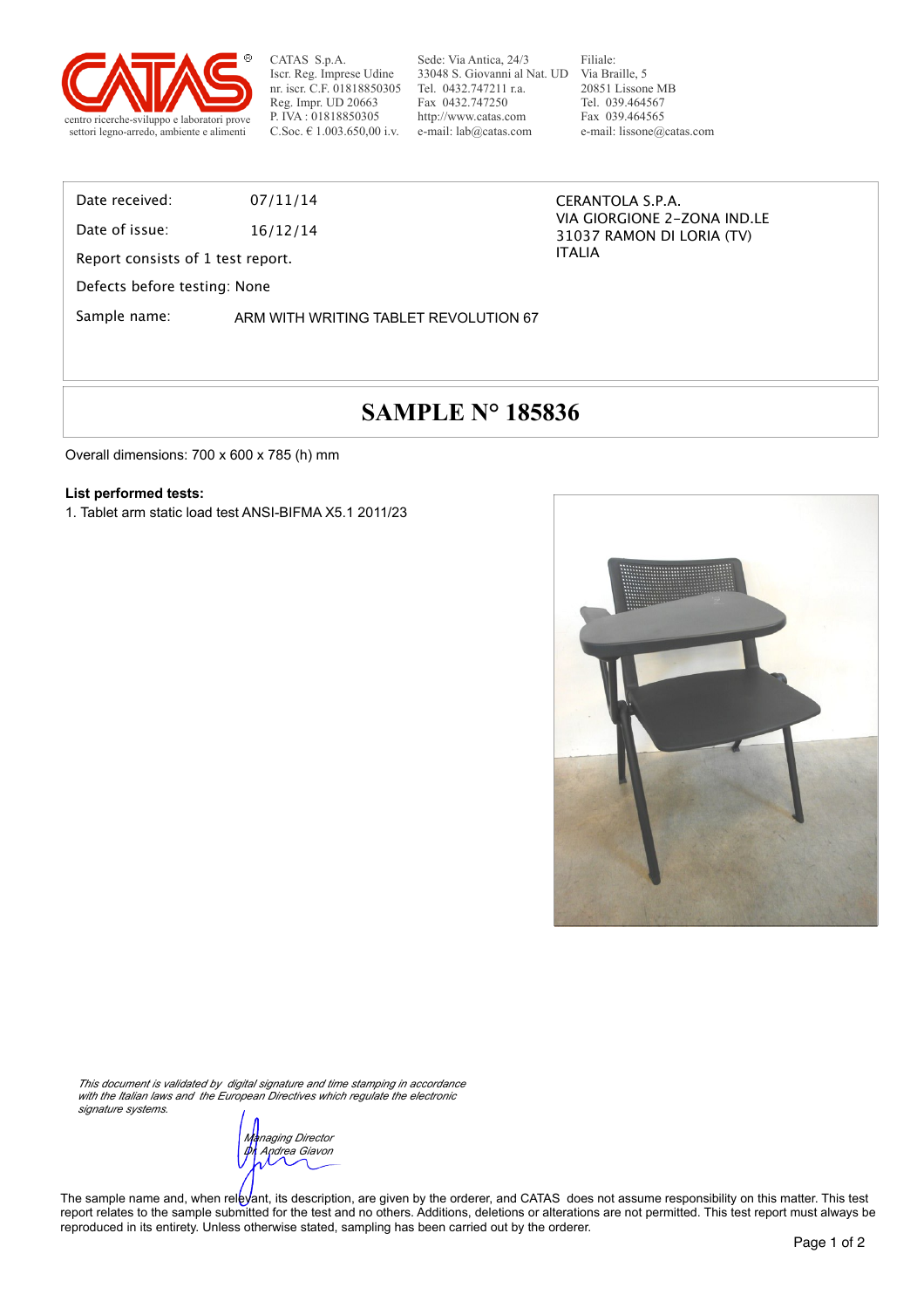

CATAS S.p.A. Iscr. Reg. Imprese Udine nr. iscr. C.F. 01818850305 Reg. Impr. UD 20663 P. IVA : 01818850305 C.Soc. € 1.003.650,00 i.v.

Sede: Via Antica, 24/3 33048 S. Giovanni al Nat. UD Via Braille, 5 Tel. 0432.747211 r.a. Fax 0432.747250 http://www.catas.com e-mail: lab@catas.com

Filiale: 20851 Lissone MB Tel. 039.464567 Fax 039.464565 e-mail: lissone@catas.com

### Date received: 07/11/14

Date of issue: 16/12/14

Report consists of 1 test report.

Defects before testing: None

Sample name: ARM WITH WRITING TABLET REVOLUTION 67

#### CERANTOLA S.P.A. VIA GIORGIONE 2-ZONA IND.LE 31037 RAMON DI LORIA (TV) ITALIA

## **SAMPLE N° 185836**

Overall dimensions: 700 x 600 x 785 (h) mm

#### **List performed tests:**

1. Tablet arm static load test ANSI-BIFMA X5.1 2011/23



*This document is validated by digital signature and time stamping in accordance with the Italian laws and the European Directives which regulate the electronic signature systems.*

*Managing Director Dr. Andrea Giavon*

The sample name and, when relevant, its description, are given by the orderer, and CATAS does not assume responsibility on this matter. This test report relates to the sample submitted for the test and no others. Additions, deletions or alterations are not permitted. This test report must always be reproduced in its entirety. Unless otherwise stated, sampling has been carried out by the orderer.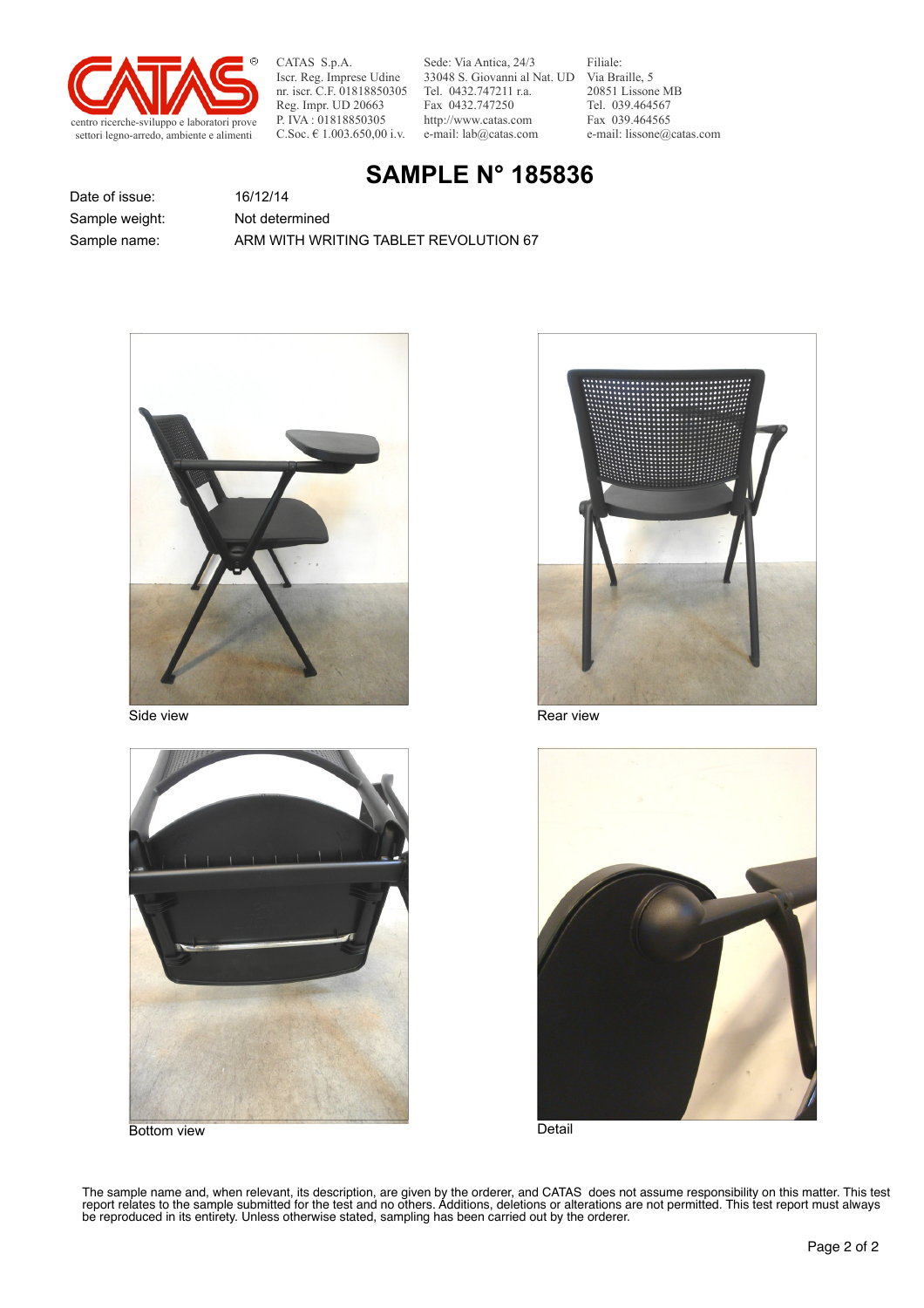

CATAS S.p.A. Iscr. Reg. Imprese Udine nr. iscr. C.F. 01818850305 Reg. Impr. UD 20663 P. IVA : 01818850305 C.Soc. € 1.003.650,00 i.v.

Sede: Via Antica, 24/3 33048 S. Giovanni al Nat. UD Via Braille, 5 Tel. 0432.747211 r.a. Fax 0432.747250 http://www.catas.com e-mail: lab@catas.com

Filiale: 20851 Lissone MB Tel. 039.464567 Fax 039.464565 e-mail: lissone@catas.com

## **SAMPLE N° 185836**

Date of issue: 16/12/14 Sample weight: Not determined

Sample name: ARM WITH WRITING TABLET REVOLUTION 67





Bottom view



Side view **Rear view** Rear view Rear view Rear view



**Detail** 

The sample name and, when relevant, its description, are given by the orderer, and CATAS does not assume responsibility on this matter. This test report relates to the sample submitted for the test and no others. Additions, deletions or alterations are not permitted. This test report must always be reproduced in its entirety. Unless otherwise stated, sampling has been carried out by the orderer.